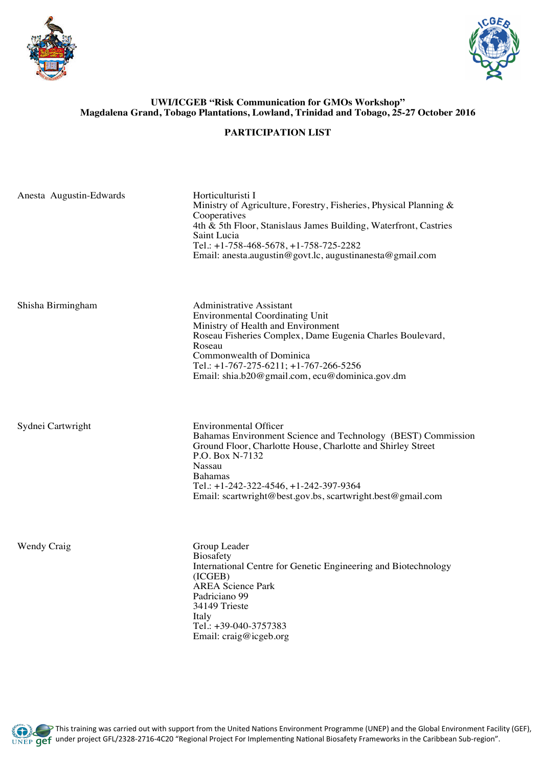



## **UWI/ICGEB "Risk Communication for GMOs Workshop" Magdalena Grand, Tobago Plantations, Lowland, Trinidad and Tobago, 25-27 October 2016**

## **PARTICIPATION LIST**

| Anesta Augustin-Edwards | Horticulturisti I<br>Ministry of Agriculture, Forestry, Fisheries, Physical Planning &<br>Cooperatives<br>4th & 5th Floor, Stanislaus James Building, Waterfront, Castries<br>Saint Lucia<br>Tel.: +1-758-468-5678, +1-758-725-2282<br>Email: anesta.augustin@govt.lc, augustinanesta@gmail.com                           |
|-------------------------|---------------------------------------------------------------------------------------------------------------------------------------------------------------------------------------------------------------------------------------------------------------------------------------------------------------------------|
| Shisha Birmingham       | <b>Administrative Assistant</b><br><b>Environmental Coordinating Unit</b><br>Ministry of Health and Environment<br>Roseau Fisheries Complex, Dame Eugenia Charles Boulevard,<br>Roseau<br>Commonwealth of Dominica<br>Tel.: +1-767-275-6211; +1-767-266-5256<br>Email: shia.b20@gmail.com, ecu@dominica.gov.dm            |
| Sydnei Cartwright       | <b>Environmental Officer</b><br>Bahamas Environment Science and Technology (BEST) Commission<br>Ground Floor, Charlotte House, Charlotte and Shirley Street<br>P.O. Box N-7132<br><b>Nassau</b><br><b>Bahamas</b><br>Tel.: +1-242-322-4546, +1-242-397-9364<br>Email: scartwright@best.gov.bs, scartwright.best@gmail.com |
| Wendy Craig             | Group Leader<br><b>Biosafety</b><br>International Centre for Genetic Engineering and Biotechnology<br>(ICGEB)<br><b>AREA Science Park</b><br>Padriciano 99<br>34149 Trieste<br>Italy<br>Tel.: +39-040-3757383<br>Email: craig@icgeb.org                                                                                   |

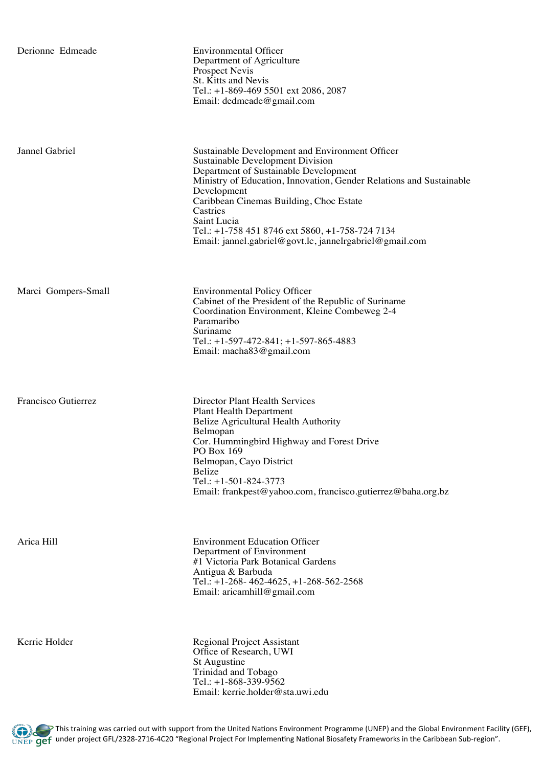| Derionne Edmeade    | <b>Environmental Officer</b><br>Department of Agriculture<br><b>Prospect Nevis</b><br>St. Kitts and Nevis<br>Tel.: +1-869-469 5501 ext 2086, 2087<br>Email: dedmeade@gmail.com                                                                                                                                                                                                                         |
|---------------------|--------------------------------------------------------------------------------------------------------------------------------------------------------------------------------------------------------------------------------------------------------------------------------------------------------------------------------------------------------------------------------------------------------|
| Jannel Gabriel      | Sustainable Development and Environment Officer<br>Sustainable Development Division<br>Department of Sustainable Development<br>Ministry of Education, Innovation, Gender Relations and Sustainable<br>Development<br>Caribbean Cinemas Building, Choc Estate<br>Castries<br>Saint Lucia<br>Tel.: +1-758 451 8746 ext 5860, +1-758-724 7134<br>Email: jannel.gabriel@govt.lc, jannelrgabriel@gmail.com |
| Marci Gompers-Small | <b>Environmental Policy Officer</b><br>Cabinet of the President of the Republic of Suriname<br>Coordination Environment, Kleine Combeweg 2-4<br>Paramaribo<br>Suriname<br>Tel.: $+1-597-472-841$ ; $+1-597-865-4883$<br>Email: macha83@gmail.com                                                                                                                                                       |
| Francisco Gutierrez | <b>Director Plant Health Services</b><br><b>Plant Health Department</b><br>Belize Agricultural Health Authority<br>Belmopan<br>Cor. Hummingbird Highway and Forest Drive<br>PO Box 169<br>Belmopan, Cayo District<br>Belize<br>Tel.: $+1-501-824-3773$<br>Email: frankpest@yahoo.com, francisco.gutierrez@baha.org.bz                                                                                  |
| Arica Hill          | <b>Environment Education Officer</b><br>Department of Environment<br>#1 Victoria Park Botanical Gardens<br>Antigua & Barbuda<br>Tel.: $+1-268-462-4625$ , $+1-268-562-2568$<br>Email: aricamhill@gmail.com                                                                                                                                                                                             |
| Kerrie Holder       | <b>Regional Project Assistant</b><br>Office of Research, UWI<br>St Augustine<br>Trinidad and Tobago                                                                                                                                                                                                                                                                                                    |

Tel.: +1-868-339-9562

Email: kerrie.holder@sta.uwi.edu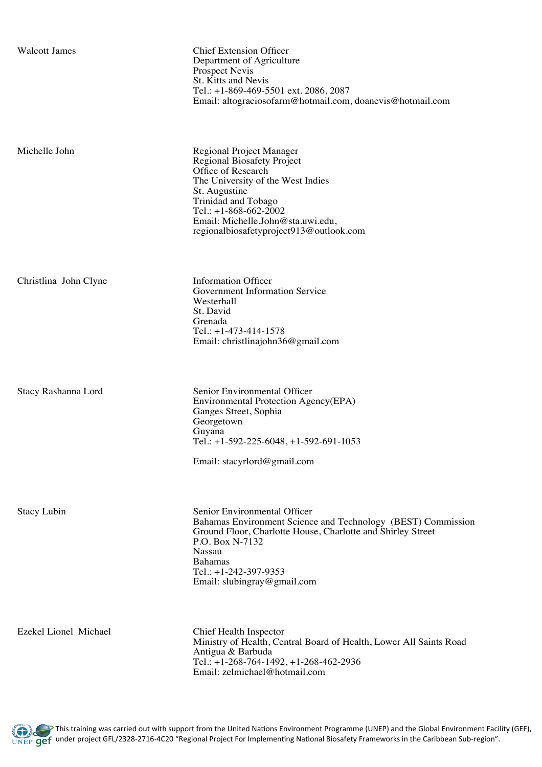Walcott James Chief Extension Officer Department of Agriculture Prospect Nevis St. Kitts and Nevis Tel.: +1-869-469-5501 ext. 2086, 2087 Email: altograciosofarm@hotmail.com, doanevis@hotmail.com

Michelle John Regional Project Manager Regional Biosafety Project Office of Research The University of the West Indies St. Augustine Trinidad and Tobago Tel.: +1-868-662-2002 Email: Michelle.John@sta.uwi.edu, regionalbiosafetyproject913@outlook.com

Christlina John Clyne Information Officer

Government Information Service Westerhall St. David Grenada Tel.: +1-473-414-1578 Email: christlinajohn36@gmail.com

Stacy Rashanna Lord Senior Environmental Officer Environmental Protection Agency(EPA) Ganges Street, Sophia Georgetown Guyana Tel.: +1-592-225-6048, +1-592-691-1053

Email: stacyrlord@gmail.com

Stacy Lubin Senior Environmental Officer Bahamas Environment Science and Technology (BEST) Commission Ground Floor, Charlotte House, Charlotte and Shirley Street P.O. Box N-7132 Nassau Bahamas Tel.: +1-242-397-9353 Email: slubingray@gmail.com

Ezekel Lionel Michael Chief Health Inspector Ministry of Health, Central Board of Health, Lower All Saints Road Antigua & Barbuda Tel.: +1-268-764-1492, +1-268-462-2936 Email: zelmichael@hotmail.com

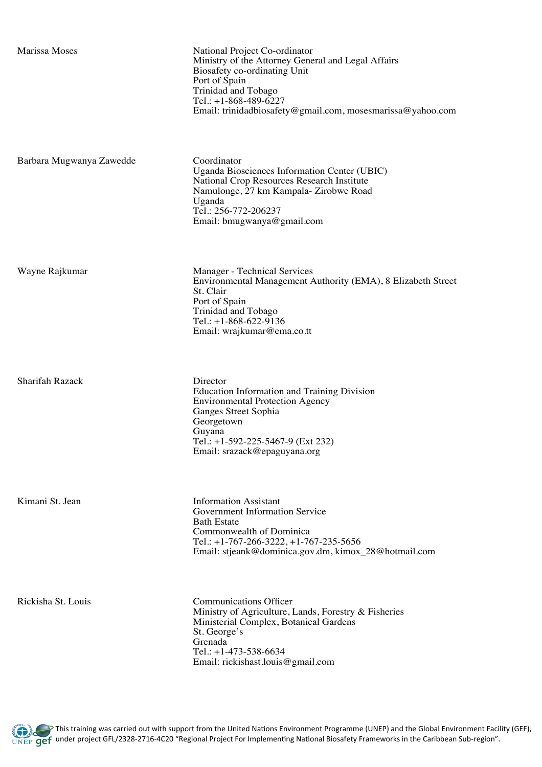| Marissa Moses            | National Project Co-ordinator<br>Ministry of the Attorney General and Legal Affairs<br>Biosafety co-ordinating Unit<br>Port of Spain<br>Trinidad and Tobago<br>Tel.: +1-868-489-6227<br>Email: trinidadbiosafety@gmail.com, mosesmarissa@yahoo.com |
|--------------------------|----------------------------------------------------------------------------------------------------------------------------------------------------------------------------------------------------------------------------------------------------|
| Barbara Mugwanya Zawedde | Coordinator<br>Uganda Biosciences Information Center (UBIC)<br>National Crop Resources Research Institute<br>Namulonge, 27 km Kampala- Zirobwe Road<br>Uganda<br>Tel.: 256-772-206237<br>Email: bmugwanya@gmail.com                                |
| Wayne Rajkumar           | Manager - Technical Services<br>Environmental Management Authority (EMA), 8 Elizabeth Street<br>St. Clair<br>Port of Spain<br>Trinidad and Tobago<br>Tel.: +1-868-622-9136<br>Email: wrajkumar@ema.co.tt                                           |
| Sharifah Razack          | Director<br><b>Education Information and Training Division</b><br><b>Environmental Protection Agency</b><br>Ganges Street Sophia<br>Georgetown<br>Guyana<br>Tel.: +1-592-225-5467-9 (Ext 232)<br>Email: srazack@epaguyana.org                      |
| Kimani St. Jean          | <b>Information Assistant</b><br>Government Information Service<br><b>Bath Estate</b><br>Commonwealth of Dominica<br>Tel.: $+1-767-266-3222$ , $+1-767-235-5656$<br>Email: stjeank@dominica.gov.dm, kimox_28@hotmail.com                            |
| Rickisha St. Louis       | <b>Communications Officer</b><br>Ministry of Agriculture, Lands, Forestry & Fisheries<br>Ministerial Complex, Botanical Gardens<br>St. George's<br>Grenada<br>Tel.: $+1-473-538-6634$<br>Email: rickishast.louis@gmail.com                         |